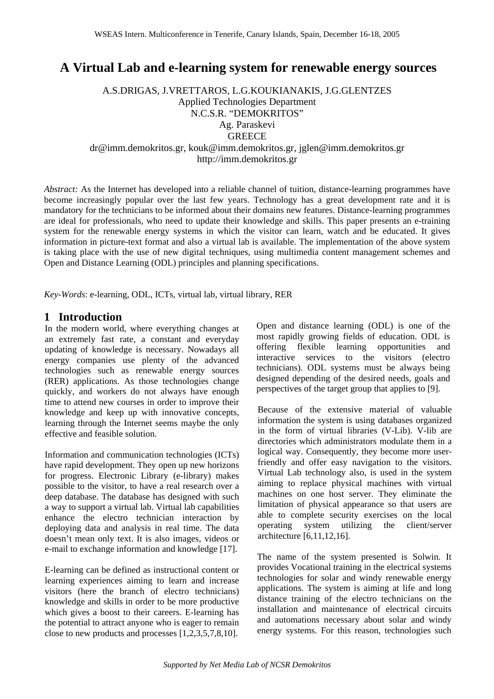# **A Virtual Lab and e-learning system for renewable energy sources**

A.S.DRIGAS, J.VRETTAROS, L.G.KOUKIANAKIS, J.G.GLENTZES Applied Technologies Department N.C.S.R. "DEMOKRITOS" Ag. Paraskevi **GREECE** dr@imm.demokritos.gr, kouk@imm.demokritos.gr, jglen@imm.demokritos.gr http://imm.demokritos.gr

*Abstract:* As the Internet has developed into a reliable channel of tuition, distance-learning programmes have become increasingly popular over the last few years. Technology has a great development rate and it is mandatory for the technicians to be informed about their domains new features. Distance-learning programmes are ideal for professionals, who need to update their knowledge and skills. This paper presents an e-training system for the renewable energy systems in which the visitor can learn, watch and be educated. It gives information in picture-text format and also a virtual lab is available. The implementation of the above system is taking place with the use of new digital techniques, using multimedia content management schemes and Open and Distance Learning (ODL) principles and planning specifications.

*Key-Words*: e-learning, ODL, ICTs, virtual lab, virtual library, RER

#### **1 Introduction**

In the modern world, where everything changes at an extremely fast rate, a constant and everyday updating of knowledge is necessary. Nowadays all energy companies use plenty of the advanced technologies such as renewable energy sources (RER) applications. As those technologies change quickly, and workers do not always have enough time to attend new courses in order to improve their knowledge and keep up with innovative concepts, learning through the Internet seems maybe the only effective and feasible solution.

Information and communication technologies (ICTs) have rapid development. They open up new horizons for progress. Electronic Library (e-library) makes possible to the visitor, to have a real research over a deep database. The database has designed with such a way to support a virtual lab. Virtual lab capabilities enhance the electro technician interaction by deploying data and analysis in real time. The data doesn't mean only text. It is also images, videos or e-mail to exchange information and knowledge [17].

E-learning can be defined as instructional content or learning experiences aiming to learn and increase visitors (here the branch of electro technicians) knowledge and skills in order to be more productive which gives a boost to their careers. E-learning has the potential to attract anyone who is eager to remain close to new products and processes [1,2,3,5,7,8,10].

Open and distance learning (ODL) is one of the most rapidly growing fields of education. ODL is offering flexible learning opportunities and interactive services to the visitors (electro technicians). ODL systems must be always being designed depending of the desired needs, goals and perspectives of the target group that applies to [9].

Because of the extensive material of valuable information the system is using databases organized in the form of virtual libraries (V-Lib). V-lib are directories which administrators modulate them in a logical way. Consequently, they become more userfriendly and offer easy navigation to the visitors. Virtual Lab technology also, is used in the system aiming to replace physical machines with virtual machines on one host server. They eliminate the limitation of physical appearance so that users are able to complete security exercises on the local operating system utilizing the client/server architecture [6,11,12,16].

The name of the system presented is Solwin. It provides Vocational training in the electrical systems technologies for solar and windy renewable energy applications. The system is aiming at life and long distance training of the electro technicians on the installation and maintenance of electrical circuits and automations necessary about solar and windy energy systems. For this reason, technologies such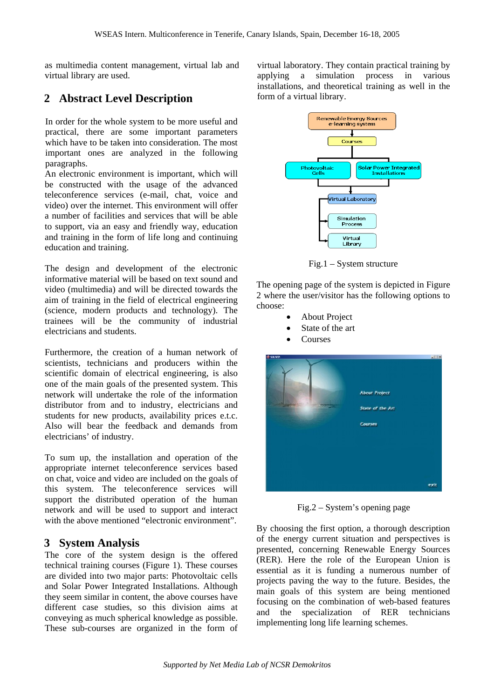as multimedia content management, virtual lab and virtual library are used.

### **2 Abstract Level Description**

In order for the whole system to be more useful and practical, there are some important parameters which have to be taken into consideration. The most important ones are analyzed in the following paragraphs.

An electronic environment is important, which will be constructed with the usage of the advanced teleconference services (e-mail, chat, voice and video) over the internet. This environment will offer a number of facilities and services that will be able to support, via an easy and friendly way, education and training in the form of life long and continuing education and training.

The design and development of the electronic informative material will be based on text sound and video (multimedia) and will be directed towards the aim of training in the field of electrical engineering (science, modern products and technology). The trainees will be the community of industrial electricians and students.

Furthermore, the creation of a human network of scientists, technicians and producers within the scientific domain of electrical engineering, is also one of the main goals of the presented system. This network will undertake the role of the information distributor from and to industry, electricians and students for new products, availability prices e.t.c. Also will bear the feedback and demands from electricians' of industry.

To sum up, the installation and operation of the appropriate internet teleconference services based on chat, voice and video are included on the goals of this system. The teleconference services will support the distributed operation of the human network and will be used to support and interact with the above mentioned "electronic environment".

#### **3 System Analysis**

The core of the system design is the offered technical training courses (Figure 1). These courses are divided into two major parts: Photovoltaic cells and Solar Power Integrated Installations. Although they seem similar in content, the above courses have different case studies, so this division aims at conveying as much spherical knowledge as possible. These sub-courses are organized in the form of

virtual laboratory. They contain practical training by applying a simulation process in various installations, and theoretical training as well in the form of a virtual library.



Fig.1 – System structure

The opening page of the system is depicted in Figure 2 where the user/visitor has the following options to choose:

- About Project
- State of the art
- Courses



Fig.2 – System's opening page

By choosing the first option, a thorough description of the energy current situation and perspectives is presented, concerning Renewable Energy Sources (RER). Here the role of the European Union is essential as it is funding a numerous number of projects paving the way to the future. Besides, the main goals of this system are being mentioned focusing on the combination of web-based features and the specialization of RER technicians implementing long life learning schemes.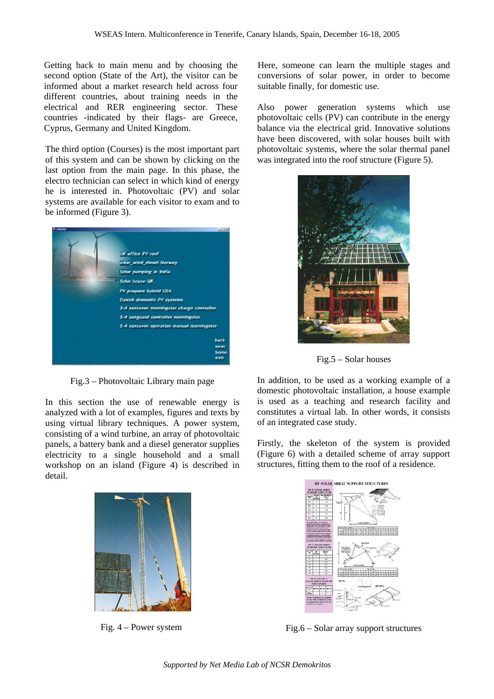Getting back to main menu and by choosing the second option (State of the Art), the visitor can be informed about a market research held across four different countries, about training needs in the electrical and RER engineering sector. These countries -indicated by their flags- are Greece, Cyprus, Germany and United Kingdom.

The third option (Courses) is the most important part of this system and can be shown by clicking on the last option from the main page. In this phase, the electro technician can select in which kind of energy he is interested in. Photovoltaic (PV) and solar systems are available for each visitor to exam and to be informed (Figure 3).



Fig.3 – Photovoltaic Library main page

In this section the use of renewable energy is analyzed with a lot of examples, figures and texts by using virtual library techniques. A power system, consisting of a wind turbine, an array of photovoltaic panels, a battery bank and a diesel generator supplies electricity to a single household and a small workshop on an island (Figure 4) is described in detail.



Fig. 4 – Power system

Here, someone can learn the multiple stages and conversions of solar power, in order to become suitable finally, for domestic use.

Also power generation systems which use photovoltaic cells (PV) can contribute in the energy balance via the electrical grid. Innovative solutions have been discovered, with solar houses built with photovoltaic systems, where the solar thermal panel was integrated into the roof structure (Figure 5).



Fig.5 – Solar houses

In addition, to be used as a working example of a domestic photovoltaic installation, a house example is used as a teaching and research facility and constitutes a virtual lab. In other words, it consists of an integrated case study.

Firstly, the skeleton of the system is provided (Figure 6) with a detailed scheme of array support structures, fitting them to the roof of a residence.



Fig.6 – Solar array support structures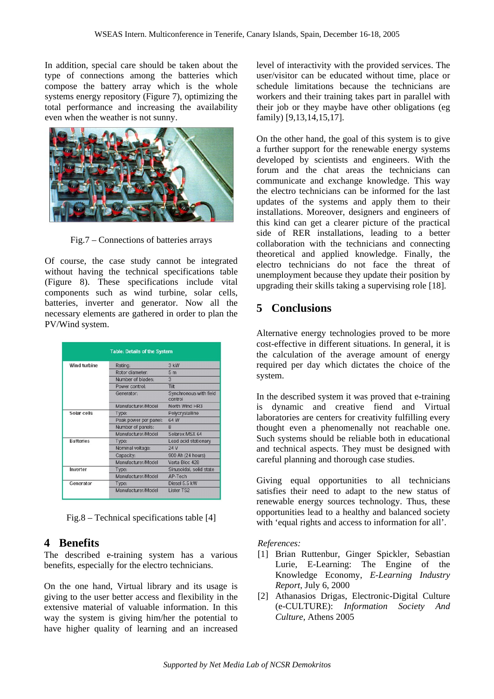In addition, special care should be taken about the type of connections among the batteries which compose the battery array which is the whole systems energy repository (Figure 7), optimizing the total performance and increasing the availability even when the weather is not sunny.



Fig.7 – Connections of batteries arrays

Of course, the case study cannot be integrated without having the technical specifications table (Figure 8). These specifications include vital components such as wind turbine, solar cells, batteries, inverter and generator. Now all the necessary elements are gathered in order to plan the PV/Wind system.

| <b>Table: Details of the System</b> |                       |                                   |
|-------------------------------------|-----------------------|-----------------------------------|
| <b>Wind turbine</b>                 | Rating:               | 3 kW                              |
|                                     | Rotor diameter:       | 5 <sub>m</sub>                    |
|                                     | Number of blades:     | 3                                 |
|                                     | Power control:        | <b>Tilt</b>                       |
|                                     | Generator:            | Synchronous with field<br>control |
|                                     | Manufacturer/Model    | North Wind HR3                    |
| Solar cells                         | Type:                 | Polycrystalline                   |
|                                     | Peak power per panel: | 64 W                              |
|                                     | Number of panels:     | 8                                 |
|                                     | Manufacturer/Model    | Solarex MSX 64                    |
| <b>Batteries</b>                    | Type:                 | Lead acid stationary              |
|                                     | Nominal voltage:      | 24 V                              |
|                                     | Capacity:             | 900 Ah (24 hours)                 |
|                                     | Manufacturer/Model    | Varta Bloc 428                    |
| Inverter                            | Type:                 | Sinusoidal, solid state           |
|                                     | Manufacturer/Model    | AP-Tech                           |
| Generator                           | Type:                 | Diesel 5.5 kW                     |
|                                     | Manufacturer/Model    | Lister TS2                        |

Fig.8 – Technical specifications table [4]

#### **4 Benefits**

The described e-training system has a various benefits, especially for the electro technicians.

On the one hand, Virtual library and its usage is giving to the user better access and flexibility in the extensive material of valuable information. In this way the system is giving him/her the potential to have higher quality of learning and an increased

level of interactivity with the provided services. The user/visitor can be educated without time, place or schedule limitations because the technicians are workers and their training takes part in parallel with their job or they maybe have other obligations (eg family) [9,13,14,15,17].

On the other hand, the goal of this system is to give a further support for the renewable energy systems developed by scientists and engineers. With the forum and the chat areas the technicians can communicate and exchange knowledge. This way the electro technicians can be informed for the last updates of the systems and apply them to their installations. Moreover, designers and engineers of this kind can get a clearer picture of the practical side of RER installations, leading to a better collaboration with the technicians and connecting theoretical and applied knowledge. Finally, the electro technicians do not face the threat of unemployment because they update their position by upgrading their skills taking a supervising role [18].

## **5 Conclusions**

Alternative energy technologies proved to be more cost-effective in different situations. In general, it is the calculation of the average amount of energy required per day which dictates the choice of the system.

In the described system it was proved that e-training is dynamic and creative fiend and Virtual laboratories are centers for creativity fulfilling every thought even a phenomenally not reachable one. Such systems should be reliable both in educational and technical aspects. They must be designed with careful planning and thorough case studies.

Giving equal opportunities to all technicians satisfies their need to adapt to the new status of renewable energy sources technology. Thus, these opportunities lead to a healthy and balanced society with 'equal rights and access to information for all'.

*References:* 

- [1] Brian Ruttenbur, Ginger Spickler, Sebastian Lurie, E-Learning: The Engine of the Knowledge Economy, *E-Learning Industry Report*, July 6, 2000
- [2] Athanasios Drigas, Electronic-Digital Culture (e-CULTURE): *Information Society And Culture*, Athens 2005